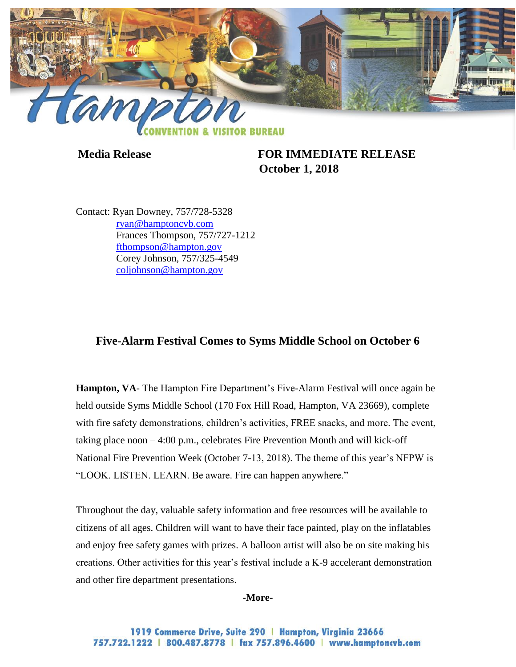

**Media Release FOR IMMEDIATE RELEASE October 1, 2018**

Contact: Ryan Downey, 757/728-5328 [ryan@hamptoncvb.com](mailto:ryan@hamptoncvb.com) Frances Thompson, 757/727-1212 [fthompson@hampton.gov](mailto:fthompson@hampton.gov) Corey Johnson, 757/325-4549 [coljohnson@hampton.gov](mailto:coljohnson@hampton.gov)

## **Five-Alarm Festival Comes to Syms Middle School on October 6**

**Hampton, VA**- The Hampton Fire Department's Five-Alarm Festival will once again be held outside Syms Middle School (170 Fox Hill Road, Hampton, VA 23669), complete with fire safety demonstrations, children's activities, FREE snacks, and more. The event, taking place noon – 4:00 p.m., celebrates Fire Prevention Month and will kick-off National Fire Prevention Week (October 7-13, 2018). The theme of this year's NFPW is "LOOK. LISTEN. LEARN. Be aware. Fire can happen anywhere."

Throughout the day, valuable safety information and free resources will be available to citizens of all ages. Children will want to have their face painted, play on the inflatables and enjoy free safety games with prizes. A balloon artist will also be on site making his creations. Other activities for this year's festival include a K-9 accelerant demonstration and other fire department presentations.

**-More-**